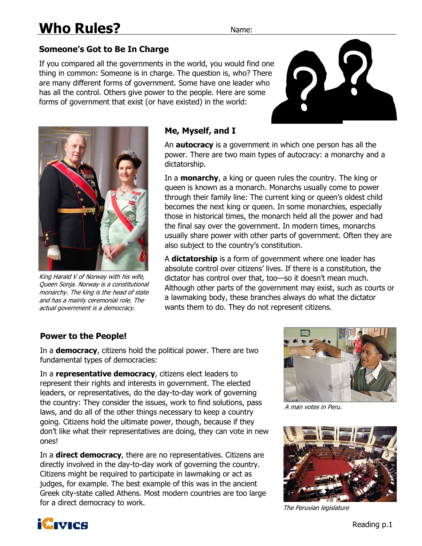# **Someone's Got to Be In Charge**

If you compared all the governments in the world, you would find one thing in common: Someone is in charge. The question is, who? There are many different forms of government. Some have one leader who has all the control. Others give power to the people. Here are some forms of government that exist (or have existed) in the world:





King Harald V of Norway with his wife, Queen Sonja. Norway is a constitutional monarchy. The king is the head of state and has a mainly ceremonial role. The actual government is a democracy.

#### **Me, Myself, and I**

An **autocracy** is a government in which one person has all the power. There are two main types of autocracy: a monarchy and a dictatorship.

In a **monarchy**, a king or queen rules the country. The king or queen is known as a monarch. Monarchs usually come to power through their family line: The current king or queen's oldest child becomes the next king or queen. In some monarchies, especially those in historical times, the monarch held all the power and had the final say over the government. In modern times, monarchs usually share power with other parts of government. Often they are also subject to the country's constitution.

A **dictatorship** is a form of government where one leader has absolute control over citizens' lives. If there is a constitution, the dictator has control over that, too—so it doesn't mean much. Although other parts of the government may exist, such as courts or a lawmaking body, these branches always do what the dictator wants them to do. They do not represent citizens.

### **Power to the People!**

In a **democracy**, citizens hold the political power. There are two fundamental types of democracies:

In a **representative democracy**, citizens elect leaders to represent their rights and interests in government. The elected leaders, or representatives, do the day-to-day work of governing the country: They consider the issues, work to find solutions, pass laws, and do all of the other things necessary to keep a country going. Citizens hold the ultimate power, though, because if they don't like what their representatives are doing, they can vote in new ones!

In a **direct democracy**, there are no representatives. Citizens are directly involved in the day-to-day work of governing the country. Citizens might be required to participate in lawmaking or act as judges, for example. The best example of this was in the ancient Greek city-state called Athens. Most modern countries are too large for a direct democracy to work.



A man votes in Peru.



The Peruvian legislature